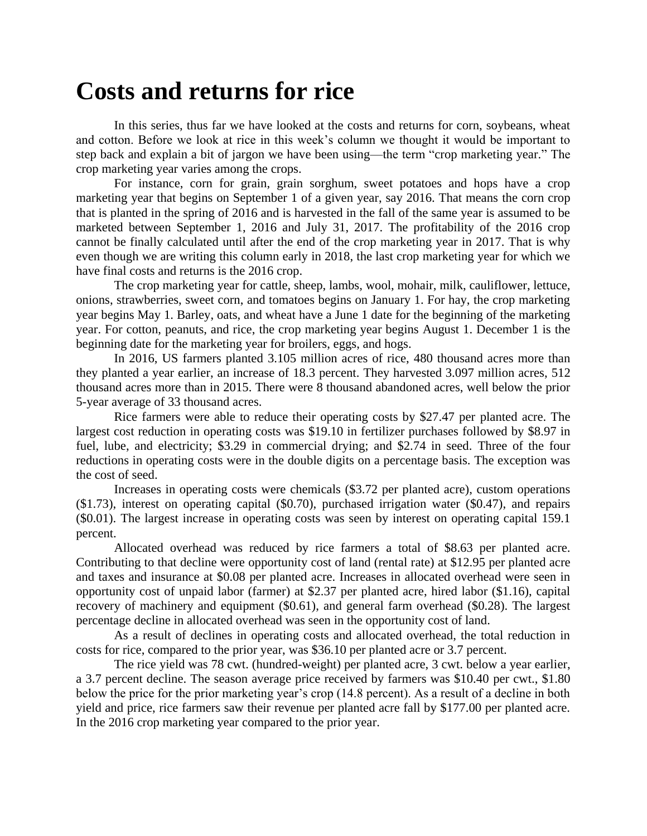## **Costs and returns for rice**

In this series, thus far we have looked at the costs and returns for corn, soybeans, wheat and cotton. Before we look at rice in this week's column we thought it would be important to step back and explain a bit of jargon we have been using—the term "crop marketing year." The crop marketing year varies among the crops.

For instance, corn for grain, grain sorghum, sweet potatoes and hops have a crop marketing year that begins on September 1 of a given year, say 2016. That means the corn crop that is planted in the spring of 2016 and is harvested in the fall of the same year is assumed to be marketed between September 1, 2016 and July 31, 2017. The profitability of the 2016 crop cannot be finally calculated until after the end of the crop marketing year in 2017. That is why even though we are writing this column early in 2018, the last crop marketing year for which we have final costs and returns is the 2016 crop.

The crop marketing year for cattle, sheep, lambs, wool, mohair, milk, cauliflower, lettuce, onions, strawberries, sweet corn, and tomatoes begins on January 1. For hay, the crop marketing year begins May 1. Barley, oats, and wheat have a June 1 date for the beginning of the marketing year. For cotton, peanuts, and rice, the crop marketing year begins August 1. December 1 is the beginning date for the marketing year for broilers, eggs, and hogs.

In 2016, US farmers planted 3.105 million acres of rice, 480 thousand acres more than they planted a year earlier, an increase of 18.3 percent. They harvested 3.097 million acres, 512 thousand acres more than in 2015. There were 8 thousand abandoned acres, well below the prior 5-year average of 33 thousand acres.

Rice farmers were able to reduce their operating costs by \$27.47 per planted acre. The largest cost reduction in operating costs was \$19.10 in fertilizer purchases followed by \$8.97 in fuel, lube, and electricity; \$3.29 in commercial drying; and \$2.74 in seed. Three of the four reductions in operating costs were in the double digits on a percentage basis. The exception was the cost of seed.

Increases in operating costs were chemicals (\$3.72 per planted acre), custom operations (\$1.73), interest on operating capital (\$0.70), purchased irrigation water (\$0.47), and repairs (\$0.01). The largest increase in operating costs was seen by interest on operating capital 159.1 percent.

Allocated overhead was reduced by rice farmers a total of \$8.63 per planted acre. Contributing to that decline were opportunity cost of land (rental rate) at \$12.95 per planted acre and taxes and insurance at \$0.08 per planted acre. Increases in allocated overhead were seen in opportunity cost of unpaid labor (farmer) at \$2.37 per planted acre, hired labor (\$1.16), capital recovery of machinery and equipment (\$0.61), and general farm overhead (\$0.28). The largest percentage decline in allocated overhead was seen in the opportunity cost of land.

As a result of declines in operating costs and allocated overhead, the total reduction in costs for rice, compared to the prior year, was \$36.10 per planted acre or 3.7 percent.

The rice yield was 78 cwt. (hundred-weight) per planted acre, 3 cwt. below a year earlier, a 3.7 percent decline. The season average price received by farmers was \$10.40 per cwt., \$1.80 below the price for the prior marketing year's crop (14.8 percent). As a result of a decline in both yield and price, rice farmers saw their revenue per planted acre fall by \$177.00 per planted acre. In the 2016 crop marketing year compared to the prior year.